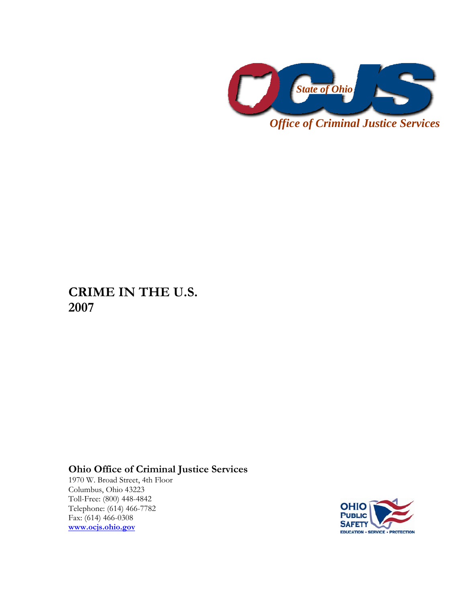

**CRIME IN THE U.S. 2007** 

## **Ohio Office of Criminal Justice Services**

1970 W. Broad Street, 4th Floor Columbus, Ohio 43223 Toll-Free: (800) 448-4842 Telephone: (614) 466-7782 Fax: (614) 466-0308 **[www.ocjs.ohio.gov](http://www.ocjs.ohio.gov/)**

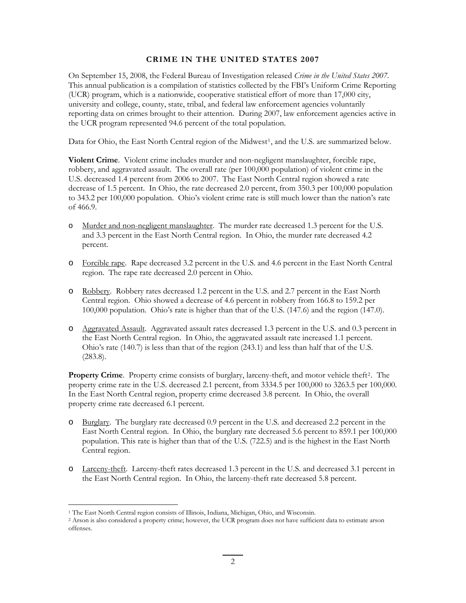## **CRIME IN THE UNITED STATES 2007**

On September 15, 2008, the Federal Bureau of Investigation released *Crime in the United States 2007*. This annual publication is a compilation of statistics collected by the FBI's Uniform Crime Reporting (UCR) program, which is a nationwide, cooperative statistical effort of more than 17,000 city, university and college, county, state, tribal, and federal law enforcement agencies voluntarily reporting data on crimes brought to their attention. During 2007, law enforcement agencies active in the UCR program represented 94.6 percent of the total population.

Data for Ohio, the East North Central region of the Midwest<sup>[1](#page-1-0)</sup>, and the U.S. are summarized below.

**Violent Crime**. Violent crime includes murder and non-negligent manslaughter, forcible rape, robbery, and aggravated assault. The overall rate (per 100,000 population) of violent crime in the U.S. decreased 1.4 percent from 2006 to 2007. The East North Central region showed a rate decrease of 1.5 percent. In Ohio, the rate decreased 2.0 percent, from 350.3 per 100,000 population to 343.2 per 100,000 population. Ohio's violent crime rate is still much lower than the nation's rate of 466.9.

- o Murder and non-negligent manslaughter. The murder rate decreased 1.3 percent for the U.S. and 3.3 percent in the East North Central region. In Ohio, the murder rate decreased 4.2 percent.
- o Forcible rape. Rape decreased 3.2 percent in the U.S. and 4.6 percent in the East North Central region. The rape rate decreased 2.0 percent in Ohio.
- o Robbery. Robbery rates decreased 1.2 percent in the U.S. and 2.7 percent in the East North Central region. Ohio showed a decrease of 4.6 percent in robbery from 166.8 to 159.2 per 100,000 population. Ohio's rate is higher than that of the U.S. (147.6) and the region (147.0).
- o Aggravated Assault. Aggravated assault rates decreased 1.3 percent in the U.S. and 0.3 percent in the East North Central region. In Ohio, the aggravated assault rate increased 1.1 percent. Ohio's rate (140.7) is less than that of the region (243.1) and less than half that of the U.S. (283.8).

**Property Crime**. Property crime consists of burglary, larceny-theft, and motor vehicle theft<sup>[2](#page-1-1)</sup>. The property crime rate in the U.S. decreased 2.1 percent, from 3334.5 per 100,000 to 3263.5 per 100,000. In the East North Central region, property crime decreased 3.8 percent. In Ohio, the overall property crime rate decreased 6.1 percent.

- o Burglary. The burglary rate decreased 0.9 percent in the U.S. and decreased 2.2 percent in the East North Central region. In Ohio, the burglary rate decreased 5.6 percent to 859.1 per 100,000 population. This rate is higher than that of the U.S. (722.5) and is the highest in the East North Central region.
- o Larceny-theft. Larceny-theft rates decreased 1.3 percent in the U.S. and decreased 3.1 percent in the East North Central region. In Ohio, the larceny-theft rate decreased 5.8 percent.

<u>.</u>

<sup>1</sup> The East North Central region consists of Illinois, Indiana, Michigan, Ohio, and Wisconsin.

<span id="page-1-1"></span><span id="page-1-0"></span><sup>2</sup> Arson is also considered a property crime; however, the UCR program does not have sufficient data to estimate arson offenses.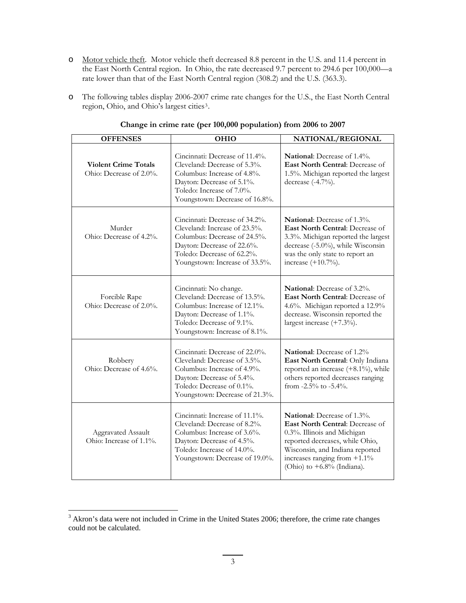- o Motor vehicle theft. Motor vehicle theft decreased 8.8 percent in the U.S. and 11.4 percent in the East North Central region. In Ohio, the rate decreased 9.7 percent to 294.6 per 100,000—a rate lower than that of the East North Central region (308.2) and the U.S. (363.3).
- o The following tables display 2006-2007 crime rate changes for the U.S., the East North Central region, Ohio, and Ohio's largest cities[3](#page-2-0).

| <b>OFFENSES</b>                                        | <b>OHIO</b>                                                                                                                                                                                   | NATIONAL/REGIONAL                                                                                                                                                                                                                       |
|--------------------------------------------------------|-----------------------------------------------------------------------------------------------------------------------------------------------------------------------------------------------|-----------------------------------------------------------------------------------------------------------------------------------------------------------------------------------------------------------------------------------------|
| <b>Violent Crime Totals</b><br>Ohio: Decrease of 2.0%. | Cincinnati: Decrease of 11.4%.<br>Cleveland: Decrease of 5.3%.<br>Columbus: Increase of 4.8%.<br>Dayton: Decrease of 5.1%.<br>Toledo: Increase of 7.0%.<br>Youngstown: Decrease of 16.8%.     | <b>National:</b> Decrease of 1.4%.<br>East North Central: Decrease of<br>1.5%. Michigan reported the largest<br>decrease (-4.7%).                                                                                                       |
| Murder<br>Ohio: Decrease of 4.2%.                      | Cincinnati: Decrease of 34.2%.<br>Cleveland: Increase of 23.5%.<br>Columbus: Decrease of 24.5%.<br>Dayton: Decrease of 22.6%.<br>Toledo: Decrease of 62.2%.<br>Youngstown: Increase of 33.5%. | National: Decrease of 1.3%.<br>East North Central: Decrease of<br>3.3%. Michigan reported the largest<br>decrease (-5.0%), while Wisconsin<br>was the only state to report an<br>increase $(+10.7%)$ .                                  |
| Forcible Rape<br>Ohio: Decrease of 2.0%.               | Cincinnati: No change.<br>Cleveland: Decrease of 13.5%.<br>Columbus: Increase of 12.1%.<br>Dayton: Decrease of 1.1%.<br>Toledo: Decrease of 9.1%.<br>Youngstown: Increase of 8.1%.            | <b>National:</b> Decrease of 3.2%.<br>East North Central: Decrease of<br>4.6%. Michigan reported a 12.9%<br>decrease. Wisconsin reported the<br>largest increase $(+7.3\%)$ .                                                           |
| Robbery<br>Ohio: Decrease of 4.6%.                     | Cincinnati: Decrease of 22.0%.<br>Cleveland: Decrease of 3.5%.<br>Columbus: Increase of 4.9%.<br>Dayton: Decrease of 5.4%.<br>Toledo: Decrease of 0.1%.<br>Youngstown: Decrease of 21.3%.     | <b>National:</b> Decrease of 1.2%<br>East North Central: Only Indiana<br>reported an increase $(+8.1\%)$ , while<br>others reported decreases ranging<br>from -2.5% to -5.4%.                                                           |
| Aggravated Assault<br>Ohio: Increase of 1.1%.          | Cincinnati: Increase of 11.1%.<br>Cleveland: Decrease of 8.2%.<br>Columbus: Increase of 3.6%.<br>Dayton: Decrease of 4.5%.<br>Toledo: Increase of 14.0%.<br>Youngstown: Decrease of 19.0%.    | National: Decrease of 1.3%.<br>East North Central: Decrease of<br>0.3%. Illinois and Michigan<br>reported decreases, while Ohio,<br>Wisconsin, and Indiana reported<br>increases ranging from $+1.1\%$<br>(Ohio) to $+6.8\%$ (Indiana). |

## **Change in crime rate (per 100,000 population) from 2006 to 2007**

<span id="page-2-0"></span><sup>&</sup>lt;sup>3</sup> Akron's data were not included in Crime in the United States 2006; therefore, the crime rate changes could not be calculated.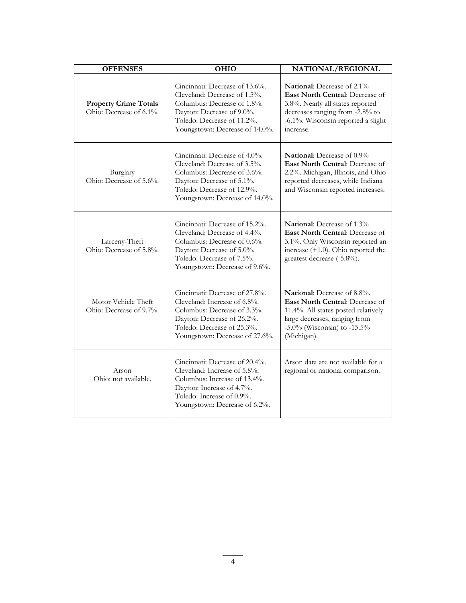| <b>OFFENSES</b>                                         | <b>OHIO</b>                                                                                                                                                                                 | NATIONAL/REGIONAL                                                                                                                                                                                 |
|---------------------------------------------------------|---------------------------------------------------------------------------------------------------------------------------------------------------------------------------------------------|---------------------------------------------------------------------------------------------------------------------------------------------------------------------------------------------------|
| <b>Property Crime Totals</b><br>Ohio: Decrease of 6.1%. | Cincinnati: Decrease of 13.6%.<br>Cleveland: Decrease of 1.5%.<br>Columbus: Decrease of 1.8%.<br>Dayton: Decrease of 9.0%.<br>Toledo: Decrease of 11.2%.<br>Youngstown: Decrease of 14.0%.  | <b>National:</b> Decrease of 2.1%<br>East North Central: Decrease of<br>3.8%. Nearly all states reported<br>decreases ranging from -2.8% to<br>-6.1%. Wisconsin reported a slight<br>increase.    |
| Burglary<br>Ohio: Decrease of 5.6%.                     | Cincinnati: Decrease of 4.0%.<br>Cleveland: Decrease of 3.5%.<br>Columbus: Decrease of 3.6%.<br>Dayton: Decrease of 5.1%.<br>Toledo: Decrease of 12.9%.<br>Youngstown: Decrease of 14.0%.   | <b>National:</b> Decrease of 0.9%<br>East North Central: Decrease of<br>2.2%. Michigan, Illinois, and Ohio<br>reported decreases, while Indiana<br>and Wisconsin reported increases.              |
| Larceny-Theft<br>Ohio: Decrease of 5.8%.                | Cincinnati: Decrease of 15.2%.<br>Cleveland: Decrease of 4.4%.<br>Columbus: Decrease of 0.6%.<br>Dayton: Decrease of 5.0%.<br>Toledo: Decrease of 7.5%.<br>Youngstown: Decrease of 9.6%.    | <b>National:</b> Decrease of 1.3%<br><b>East North Central: Decrease of</b><br>3.1%. Only Wisconsin reported an<br>increase $(+1.0)$ . Ohio reported the<br>greatest decrease (-5.8%).            |
| Motor Vehicle Theft<br>Ohio: Decrease of 9.7%.          | Cincinnati: Decrease of 27.8%.<br>Cleveland: Increase of 6.8%.<br>Columbus: Decrease of 3.3%.<br>Dayton: Decrease of 26.2%.<br>Toledo: Decrease of 25.3%.<br>Youngstown: Decrease of 27.6%. | <b>National:</b> Decrease of 8.8%.<br>East North Central: Decrease of<br>11.4%. All states posted relatively<br>large decreases, ranging from<br>$-5.0\%$ (Wisconsin) to $-15.5\%$<br>(Michigan). |
| Arson<br>Ohio: not available.                           | Cincinnati: Decrease of 20.4%.<br>Cleveland: Increase of 5.8%.<br>Columbus: Increase of 13.4%.<br>Dayton: Increase of 4.7%.<br>Toledo: Increase of 0.9%.<br>Youngstown: Decrease of 6.2%.   | Arson data are not available for a<br>regional or national comparison.                                                                                                                            |